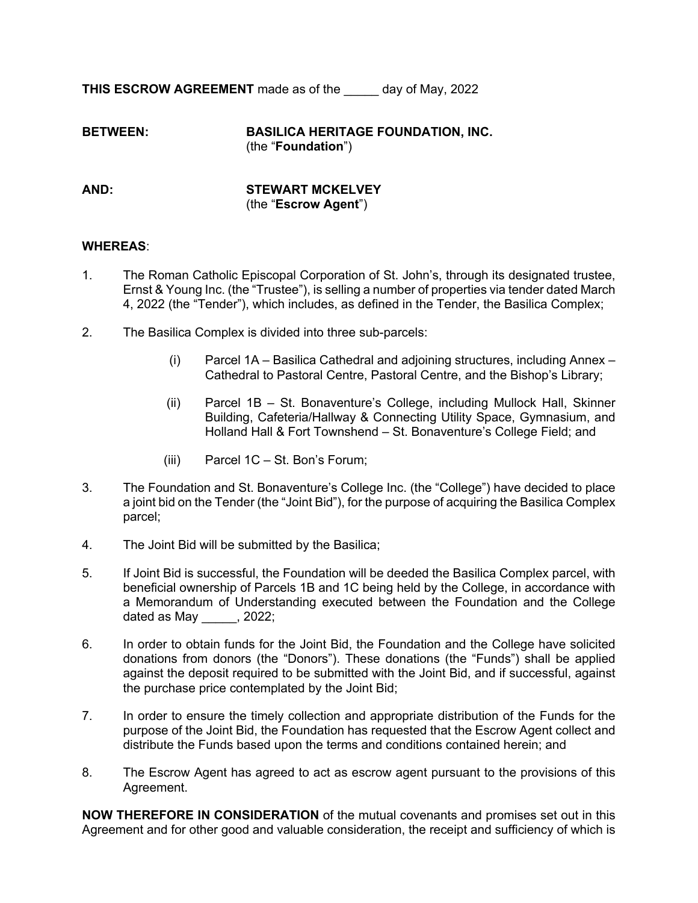**THIS ESCROW AGREEMENT** made as of the day of May, 2022

**BETWEEN: BASILICA HERITAGE FOUNDATION, INC.** (the "**Foundation**")

**AND: STEWART MCKELVEY** (the "**Escrow Agent**")

#### **WHEREAS**:

- 1. The Roman Catholic Episcopal Corporation of St. John's, through its designated trustee, Ernst & Young Inc. (the "Trustee"), is selling a number of properties via tender dated March 4, 2022 (the "Tender"), which includes, as defined in the Tender, the Basilica Complex;
- 2. The Basilica Complex is divided into three sub-parcels:
	- (i) Parcel 1A Basilica Cathedral and adjoining structures, including Annex Cathedral to Pastoral Centre, Pastoral Centre, and the Bishop's Library;
	- (ii) Parcel 1B St. Bonaventure's College, including Mullock Hall, Skinner Building, Cafeteria/Hallway & Connecting Utility Space, Gymnasium, and Holland Hall & Fort Townshend – St. Bonaventure's College Field; and
	- (iii) Parcel 1C St. Bon's Forum;
- 3. The Foundation and St. Bonaventure's College Inc. (the "College") have decided to place a joint bid on the Tender (the "Joint Bid"), for the purpose of acquiring the Basilica Complex parcel;
- 4. The Joint Bid will be submitted by the Basilica;
- 5. If Joint Bid is successful, the Foundation will be deeded the Basilica Complex parcel, with beneficial ownership of Parcels 1B and 1C being held by the College, in accordance with a Memorandum of Understanding executed between the Foundation and the College dated as May [10, 2022;
- 6. In order to obtain funds for the Joint Bid, the Foundation and the College have solicited donations from donors (the "Donors"). These donations (the "Funds") shall be applied against the deposit required to be submitted with the Joint Bid, and if successful, against the purchase price contemplated by the Joint Bid;
- 7. In order to ensure the timely collection and appropriate distribution of the Funds for the purpose of the Joint Bid, the Foundation has requested that the Escrow Agent collect and distribute the Funds based upon the terms and conditions contained herein; and
- 8. The Escrow Agent has agreed to act as escrow agent pursuant to the provisions of this Agreement.

**NOW THEREFORE IN CONSIDERATION** of the mutual covenants and promises set out in this Agreement and for other good and valuable consideration, the receipt and sufficiency of which is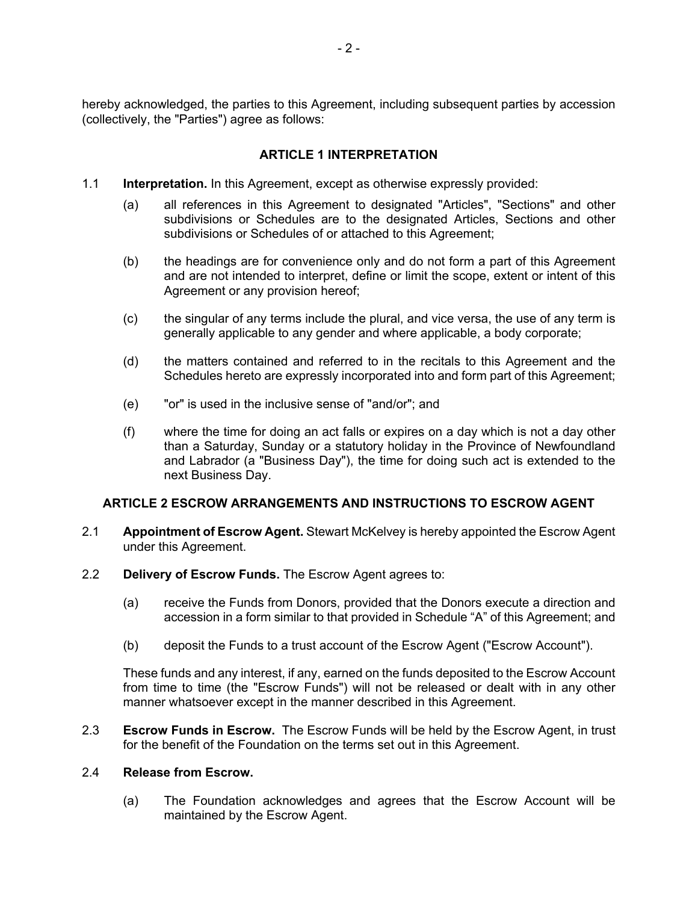hereby acknowledged, the parties to this Agreement, including subsequent parties by accession (collectively, the "Parties") agree as follows:

## **ARTICLE 1 INTERPRETATION**

- 1.1 **Interpretation.** In this Agreement, except as otherwise expressly provided:
	- (a) all references in this Agreement to designated "Articles", "Sections" and other subdivisions or Schedules are to the designated Articles, Sections and other subdivisions or Schedules of or attached to this Agreement;
	- (b) the headings are for convenience only and do not form a part of this Agreement and are not intended to interpret, define or limit the scope, extent or intent of this Agreement or any provision hereof;
	- (c) the singular of any terms include the plural, and vice versa, the use of any term is generally applicable to any gender and where applicable, a body corporate;
	- (d) the matters contained and referred to in the recitals to this Agreement and the Schedules hereto are expressly incorporated into and form part of this Agreement;
	- (e) "or" is used in the inclusive sense of "and/or"; and
	- (f) where the time for doing an act falls or expires on a day which is not a day other than a Saturday, Sunday or a statutory holiday in the Province of Newfoundland and Labrador (a "Business Day"), the time for doing such act is extended to the next Business Day.

## **ARTICLE 2 ESCROW ARRANGEMENTS AND INSTRUCTIONS TO ESCROW AGENT**

- 2.1 **Appointment of Escrow Agent.** Stewart McKelvey is hereby appointed the Escrow Agent under this Agreement.
- 2.2 **Delivery of Escrow Funds.** The Escrow Agent agrees to:
	- (a) receive the Funds from Donors, provided that the Donors execute a direction and accession in a form similar to that provided in Schedule "A" of this Agreement; and
	- (b) deposit the Funds to a trust account of the Escrow Agent ("Escrow Account").

These funds and any interest, if any, earned on the funds deposited to the Escrow Account from time to time (the "Escrow Funds") will not be released or dealt with in any other manner whatsoever except in the manner described in this Agreement.

2.3 **Escrow Funds in Escrow.** The Escrow Funds will be held by the Escrow Agent, in trust for the benefit of the Foundation on the terms set out in this Agreement.

#### 2.4 **Release from Escrow.**

(a) The Foundation acknowledges and agrees that the Escrow Account will be maintained by the Escrow Agent.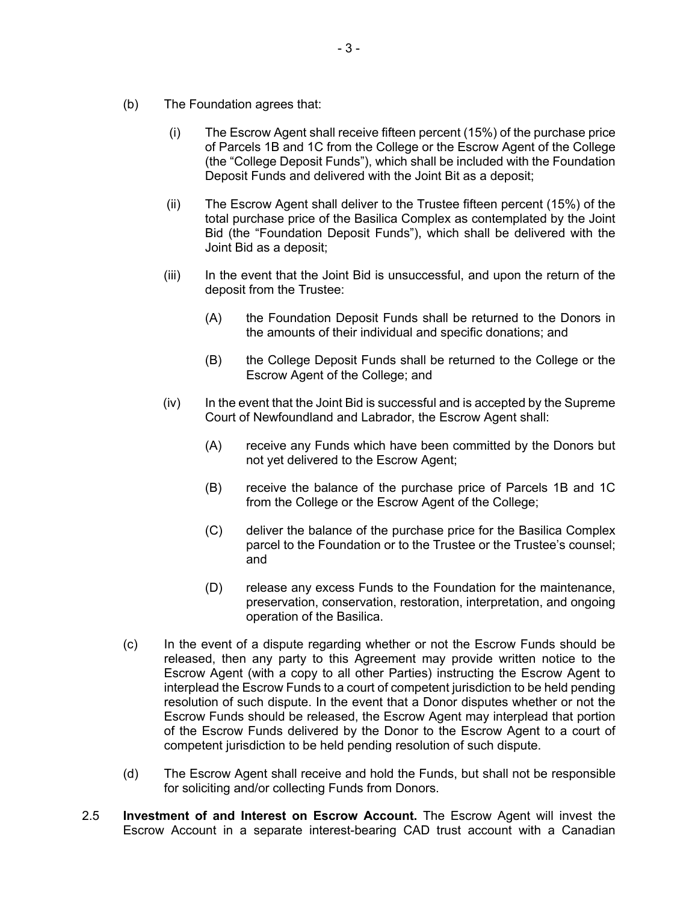- (b) The Foundation agrees that:
	- (i) The Escrow Agent shall receive fifteen percent (15%) of the purchase price of Parcels 1B and 1C from the College or the Escrow Agent of the College (the "College Deposit Funds"), which shall be included with the Foundation Deposit Funds and delivered with the Joint Bit as a deposit;
	- (ii) The Escrow Agent shall deliver to the Trustee fifteen percent (15%) of the total purchase price of the Basilica Complex as contemplated by the Joint Bid (the "Foundation Deposit Funds"), which shall be delivered with the Joint Bid as a deposit;
	- (iii) In the event that the Joint Bid is unsuccessful, and upon the return of the deposit from the Trustee:
		- (A) the Foundation Deposit Funds shall be returned to the Donors in the amounts of their individual and specific donations; and
		- (B) the College Deposit Funds shall be returned to the College or the Escrow Agent of the College; and
	- $(iv)$  In the event that the Joint Bid is successful and is accepted by the Supreme Court of Newfoundland and Labrador, the Escrow Agent shall:
		- (A) receive any Funds which have been committed by the Donors but not yet delivered to the Escrow Agent;
		- (B) receive the balance of the purchase price of Parcels 1B and 1C from the College or the Escrow Agent of the College;
		- (C) deliver the balance of the purchase price for the Basilica Complex parcel to the Foundation or to the Trustee or the Trustee's counsel; and
		- (D) release any excess Funds to the Foundation for the maintenance, preservation, conservation, restoration, interpretation, and ongoing operation of the Basilica.
- (c) In the event of a dispute regarding whether or not the Escrow Funds should be released, then any party to this Agreement may provide written notice to the Escrow Agent (with a copy to all other Parties) instructing the Escrow Agent to interplead the Escrow Funds to a court of competent jurisdiction to be held pending resolution of such dispute. In the event that a Donor disputes whether or not the Escrow Funds should be released, the Escrow Agent may interplead that portion of the Escrow Funds delivered by the Donor to the Escrow Agent to a court of competent jurisdiction to be held pending resolution of such dispute.
- (d) The Escrow Agent shall receive and hold the Funds, but shall not be responsible for soliciting and/or collecting Funds from Donors.
- 2.5 **Investment of and Interest on Escrow Account.** The Escrow Agent will invest the Escrow Account in a separate interest-bearing CAD trust account with a Canadian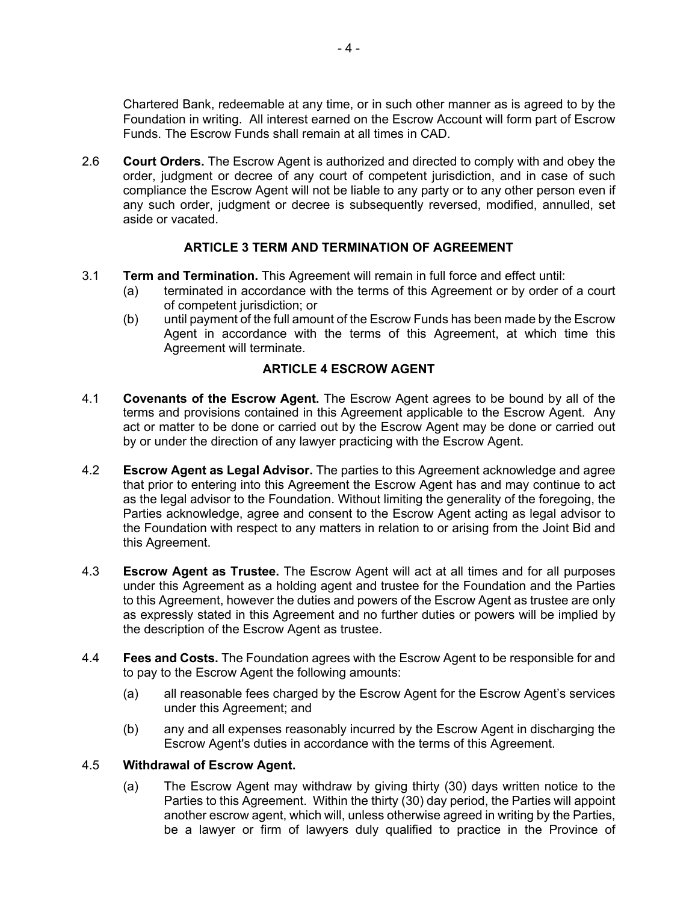Chartered Bank, redeemable at any time, or in such other manner as is agreed to by the Foundation in writing. All interest earned on the Escrow Account will form part of Escrow Funds. The Escrow Funds shall remain at all times in CAD.

2.6 **Court Orders.** The Escrow Agent is authorized and directed to comply with and obey the order, judgment or decree of any court of competent jurisdiction, and in case of such compliance the Escrow Agent will not be liable to any party or to any other person even if any such order, judgment or decree is subsequently reversed, modified, annulled, set aside or vacated.

# **ARTICLE 3 TERM AND TERMINATION OF AGREEMENT**

- 3.1 **Term and Termination.** This Agreement will remain in full force and effect until:
	- (a) terminated in accordance with the terms of this Agreement or by order of a court of competent jurisdiction; or
	- (b) until payment of the full amount of the Escrow Funds has been made by the Escrow Agent in accordance with the terms of this Agreement, at which time this Agreement will terminate.

# **ARTICLE 4 ESCROW AGENT**

- 4.1 **Covenants of the Escrow Agent.** The Escrow Agent agrees to be bound by all of the terms and provisions contained in this Agreement applicable to the Escrow Agent. Any act or matter to be done or carried out by the Escrow Agent may be done or carried out by or under the direction of any lawyer practicing with the Escrow Agent.
- 4.2 **Escrow Agent as Legal Advisor.** The parties to this Agreement acknowledge and agree that prior to entering into this Agreement the Escrow Agent has and may continue to act as the legal advisor to the Foundation. Without limiting the generality of the foregoing, the Parties acknowledge, agree and consent to the Escrow Agent acting as legal advisor to the Foundation with respect to any matters in relation to or arising from the Joint Bid and this Agreement.
- 4.3 **Escrow Agent as Trustee.** The Escrow Agent will act at all times and for all purposes under this Agreement as a holding agent and trustee for the Foundation and the Parties to this Agreement, however the duties and powers of the Escrow Agent as trustee are only as expressly stated in this Agreement and no further duties or powers will be implied by the description of the Escrow Agent as trustee.
- 4.4 **Fees and Costs.** The Foundation agrees with the Escrow Agent to be responsible for and to pay to the Escrow Agent the following amounts:
	- (a) all reasonable fees charged by the Escrow Agent for the Escrow Agent's services under this Agreement; and
	- (b) any and all expenses reasonably incurred by the Escrow Agent in discharging the Escrow Agent's duties in accordance with the terms of this Agreement.

## 4.5 **Withdrawal of Escrow Agent.**

(a) The Escrow Agent may withdraw by giving thirty (30) days written notice to the Parties to this Agreement. Within the thirty (30) day period, the Parties will appoint another escrow agent, which will, unless otherwise agreed in writing by the Parties, be a lawyer or firm of lawyers duly qualified to practice in the Province of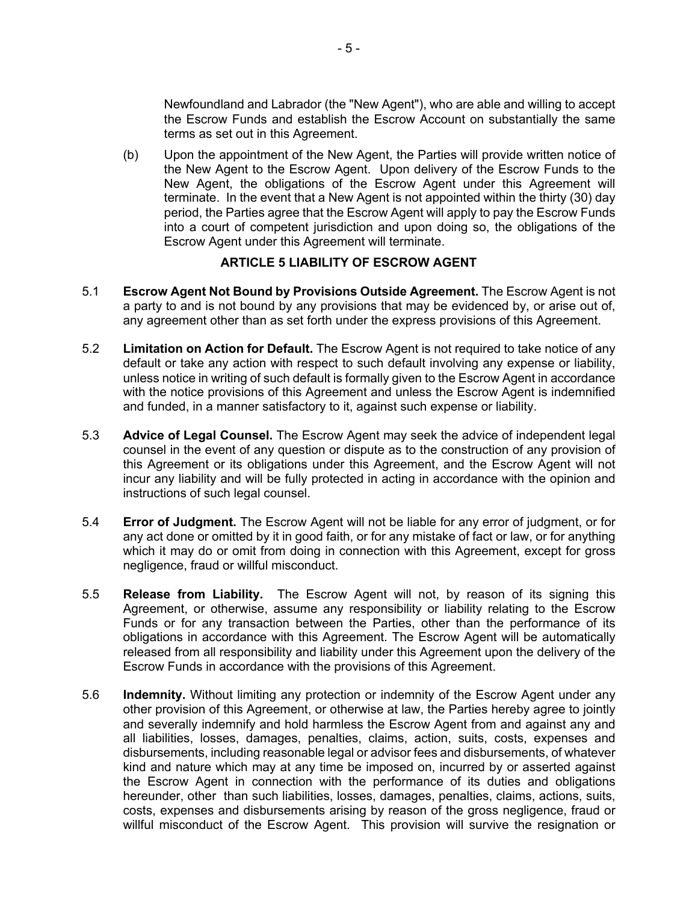Newfoundland and Labrador (the "New Agent"), who are able and willing to accept the Escrow Funds and establish the Escrow Account on substantially the same terms as set out in this Agreement.

(b) Upon the appointment of the New Agent, the Parties will provide written notice of the New Agent to the Escrow Agent. Upon delivery of the Escrow Funds to the New Agent, the obligations of the Escrow Agent under this Agreement will terminate. In the event that a New Agent is not appointed within the thirty (30) day period, the Parties agree that the Escrow Agent will apply to pay the Escrow Funds into a court of competent jurisdiction and upon doing so, the obligations of the Escrow Agent under this Agreement will terminate.

#### **ARTICLE 5 LIABILITY OF ESCROW AGENT**

- 5.1 **Escrow Agent Not Bound by Provisions Outside Agreement.** The Escrow Agent is not a party to and is not bound by any provisions that may be evidenced by, or arise out of, any agreement other than as set forth under the express provisions of this Agreement.
- 5.2 **Limitation on Action for Default.** The Escrow Agent is not required to take notice of any default or take any action with respect to such default involving any expense or liability, unless notice in writing of such default is formally given to the Escrow Agent in accordance with the notice provisions of this Agreement and unless the Escrow Agent is indemnified and funded, in a manner satisfactory to it, against such expense or liability.
- 5.3 **Advice of Legal Counsel.** The Escrow Agent may seek the advice of independent legal counsel in the event of any question or dispute as to the construction of any provision of this Agreement or its obligations under this Agreement, and the Escrow Agent will not incur any liability and will be fully protected in acting in accordance with the opinion and instructions of such legal counsel.
- 5.4 **Error of Judgment.** The Escrow Agent will not be liable for any error of judgment, or for any act done or omitted by it in good faith, or for any mistake of fact or law, or for anything which it may do or omit from doing in connection with this Agreement, except for gross negligence, fraud or willful misconduct.
- 5.5 **Release from Liability.** The Escrow Agent will not, by reason of its signing this Agreement, or otherwise, assume any responsibility or liability relating to the Escrow Funds or for any transaction between the Parties, other than the performance of its obligations in accordance with this Agreement. The Escrow Agent will be automatically released from all responsibility and liability under this Agreement upon the delivery of the Escrow Funds in accordance with the provisions of this Agreement.
- 5.6 **Indemnity.** Without limiting any protection or indemnity of the Escrow Agent under any other provision of this Agreement, or otherwise at law, the Parties hereby agree to jointly and severally indemnify and hold harmless the Escrow Agent from and against any and all liabilities, losses, damages, penalties, claims, action, suits, costs, expenses and disbursements, including reasonable legal or advisor fees and disbursements, of whatever kind and nature which may at any time be imposed on, incurred by or asserted against the Escrow Agent in connection with the performance of its duties and obligations hereunder, other than such liabilities, losses, damages, penalties, claims, actions, suits, costs, expenses and disbursements arising by reason of the gross negligence, fraud or willful misconduct of the Escrow Agent. This provision will survive the resignation or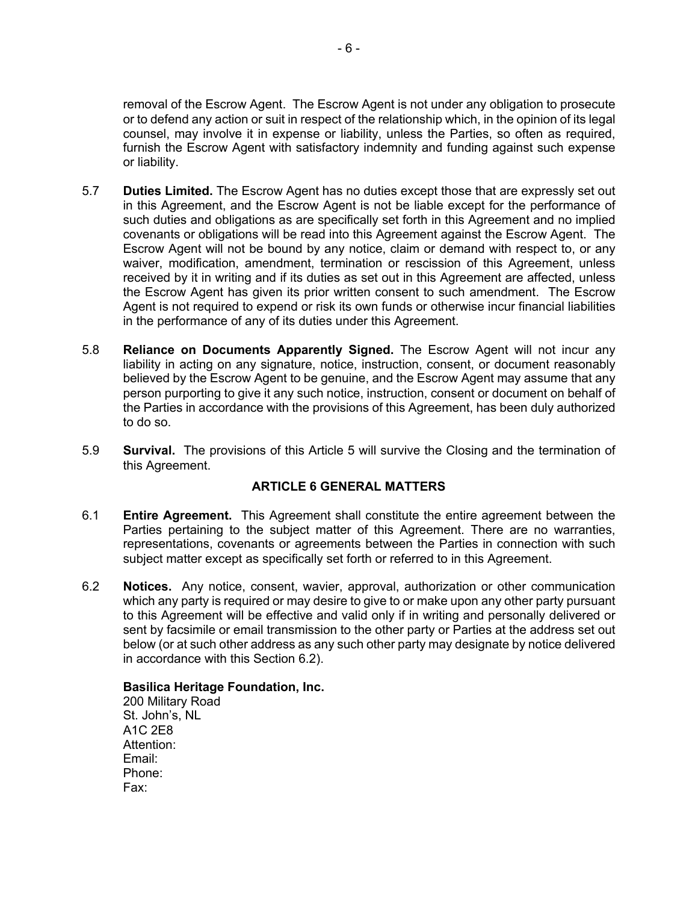removal of the Escrow Agent. The Escrow Agent is not under any obligation to prosecute or to defend any action or suit in respect of the relationship which, in the opinion of its legal counsel, may involve it in expense or liability, unless the Parties, so often as required, furnish the Escrow Agent with satisfactory indemnity and funding against such expense or liability.

- 5.7 **Duties Limited.** The Escrow Agent has no duties except those that are expressly set out in this Agreement, and the Escrow Agent is not be liable except for the performance of such duties and obligations as are specifically set forth in this Agreement and no implied covenants or obligations will be read into this Agreement against the Escrow Agent. The Escrow Agent will not be bound by any notice, claim or demand with respect to, or any waiver, modification, amendment, termination or rescission of this Agreement, unless received by it in writing and if its duties as set out in this Agreement are affected, unless the Escrow Agent has given its prior written consent to such amendment. The Escrow Agent is not required to expend or risk its own funds or otherwise incur financial liabilities in the performance of any of its duties under this Agreement.
- 5.8 **Reliance on Documents Apparently Signed.** The Escrow Agent will not incur any liability in acting on any signature, notice, instruction, consent, or document reasonably believed by the Escrow Agent to be genuine, and the Escrow Agent may assume that any person purporting to give it any such notice, instruction, consent or document on behalf of the Parties in accordance with the provisions of this Agreement, has been duly authorized to do so.
- 5.9 **Survival.** The provisions of this Article 5 will survive the Closing and the termination of this Agreement.

## **ARTICLE 6 GENERAL MATTERS**

- 6.1 **Entire Agreement.** This Agreement shall constitute the entire agreement between the Parties pertaining to the subject matter of this Agreement. There are no warranties, representations, covenants or agreements between the Parties in connection with such subject matter except as specifically set forth or referred to in this Agreement.
- 6.2 **Notices.** Any notice, consent, wavier, approval, authorization or other communication which any party is required or may desire to give to or make upon any other party pursuant to this Agreement will be effective and valid only if in writing and personally delivered or sent by facsimile or email transmission to the other party or Parties at the address set out below (or at such other address as any such other party may designate by notice delivered in accordance with this Section 6.2).

#### **Basilica Heritage Foundation, Inc.**

200 Military Road St. John's, NL A1C 2E8 Attention: Email: Phone: Fax: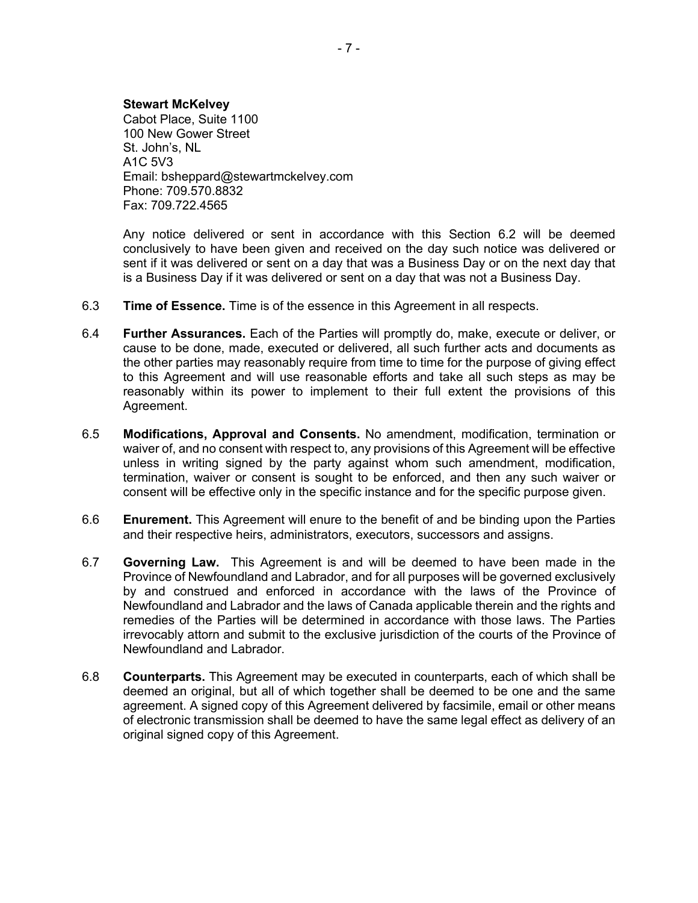#### **Stewart McKelvey**

Cabot Place, Suite 1100 100 New Gower Street St. John's, NL A1C 5V3 Email: bsheppard@stewartmckelvey.com Phone: 709.570.8832 Fax: 709.722.4565

Any notice delivered or sent in accordance with this Section 6.2 will be deemed conclusively to have been given and received on the day such notice was delivered or sent if it was delivered or sent on a day that was a Business Day or on the next day that is a Business Day if it was delivered or sent on a day that was not a Business Day.

- 6.3 **Time of Essence.** Time is of the essence in this Agreement in all respects.
- 6.4 **Further Assurances.** Each of the Parties will promptly do, make, execute or deliver, or cause to be done, made, executed or delivered, all such further acts and documents as the other parties may reasonably require from time to time for the purpose of giving effect to this Agreement and will use reasonable efforts and take all such steps as may be reasonably within its power to implement to their full extent the provisions of this Agreement.
- 6.5 **Modifications, Approval and Consents.** No amendment, modification, termination or waiver of, and no consent with respect to, any provisions of this Agreement will be effective unless in writing signed by the party against whom such amendment, modification, termination, waiver or consent is sought to be enforced, and then any such waiver or consent will be effective only in the specific instance and for the specific purpose given.
- 6.6 **Enurement.** This Agreement will enure to the benefit of and be binding upon the Parties and their respective heirs, administrators, executors, successors and assigns.
- 6.7 **Governing Law.** This Agreement is and will be deemed to have been made in the Province of Newfoundland and Labrador, and for all purposes will be governed exclusively by and construed and enforced in accordance with the laws of the Province of Newfoundland and Labrador and the laws of Canada applicable therein and the rights and remedies of the Parties will be determined in accordance with those laws. The Parties irrevocably attorn and submit to the exclusive jurisdiction of the courts of the Province of Newfoundland and Labrador.
- 6.8 **Counterparts.** This Agreement may be executed in counterparts, each of which shall be deemed an original, but all of which together shall be deemed to be one and the same agreement. A signed copy of this Agreement delivered by facsimile, email or other means of electronic transmission shall be deemed to have the same legal effect as delivery of an original signed copy of this Agreement.